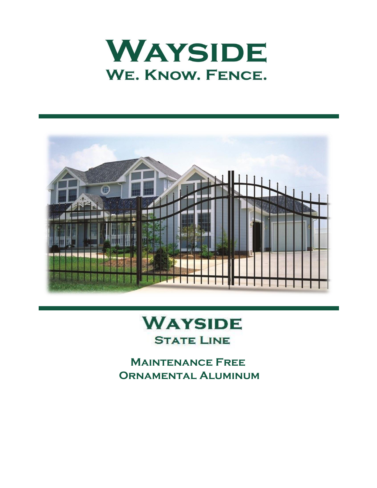



# **WAYSIDE STATE LINE**

 **Maintenance Free Ornamental Aluminum**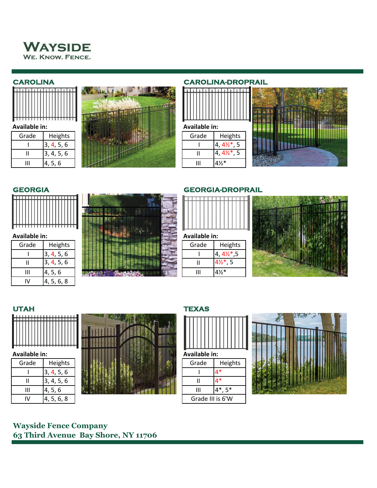



| Grade | Heights |
|-------|---------|
|       | 4, 5, 6 |
|       | 4, 5, 6 |
|       |         |



### **CAROLINA CAROLINA-DROPRAIL**





| Grade | Heights    |
|-------|------------|
|       | 3, 4, 5, 6 |
|       | 3, 4, 5, 6 |
| Ш     | 4, 5, 6    |
|       | 4, 5, 6, 8 |



### **GEORGIA GEORGIA-DROPRAIL**











### **UTAH TEXAS**





## **Wayside Fence Company 63 Third Avenue Bay Shore, NY 11706**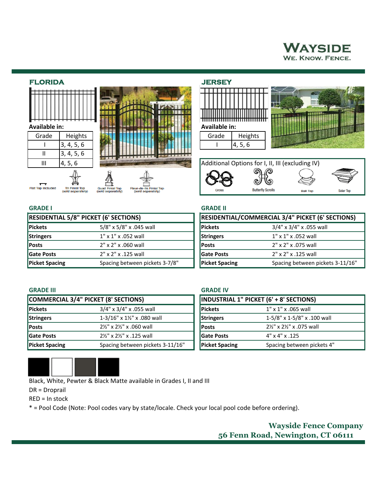# **WAYSIDE** WE. KNOW. FENCE.

### **FLORIDA JERSEY**

| <b>Available in:</b> |   |   |   |
|----------------------|---|---|---|
|                      |   |   |   |
|                      | ٠ | ٠ | ٠ |

 $11 \quad 3, 4, 5, 6$ 

**RESIDENTIAL 5/8" PICKET (6' SECTIONS) Pickets** 3/8" x 5/8" x .045 wall **Stringers** 1" x 1" x .052 wall **Posts** 2" x 2" x .060 wall **Posts** 2" x 2" x .075 wall **Gate Posts** 2" x 2" x .125 wall **Gate Posts** 2" x 2" x .125 wall

**Tri Finial Top** 



**Flat Top Includer** 





### **GRADE I GRADE II**

| RESIDENTIAL/COMMERCIAL 3/4" PICKET (6' SECTIONS) |                                  |  |
|--------------------------------------------------|----------------------------------|--|
| Pickets                                          | 3/4" x 3/4" x .055 wall          |  |
| Stringers                                        | 1" x 1" x .052 wall              |  |
| Posts                                            | 2" x 2" x .075 wall              |  |
| Gate Posts                                       | 2" x 2" x .125 wall              |  |
| <b>Picket Spacing</b>                            | Spacing between pickets 3-11/16" |  |

### **GRADE III GRADE IV**

|                       | COMMERCIAL 3/4" PICKET (8' SECTIONS)            |                       | <b>INDUSTRIAL 1" PICKET (6' + 8' SECTIONS)</b> |
|-----------------------|-------------------------------------------------|-----------------------|------------------------------------------------|
| <b>Pickets</b>        | $3/4$ " x $3/4$ " x .055 wall                   | <b>Pickets</b>        | $1'' \times 1'' \times .065$ wall              |
| Stringers             | $1-3/16" \times 1\frac{1}{2}" \times .080$ wall | Stringers             | 1-5/8" x 1-5/8" x .100 wall                    |
| <b>Posts</b>          | 21/2" x 21/2" x .060 wall                       | <b>Posts</b>          | 21/2" x 21/2" x .075 wall                      |
| <b>SGate Posts</b>    | 21/2" x 21/2" x .125 wall                       | <b>IGate Posts</b>    | $4" \times 4" \times .125$                     |
| <b>Picket Spacing</b> | Spacing between pickets 3-11/16"                | <b>Picket Spacing</b> | Spacing between pickets 4"                     |

**Picket Spacing Spacing between pickets 3-7/8"** 



Black, White, Pewter & Black Matte available in Grades I, II and III

DR = Droprail

RED = In stock

\* = Pool Code (Note: Pool codes vary by state/locale. Check your local pool code before ordering).

**Wayside Fence Company 56 Fenn Road, Newington, CT 06111**

| <b>INDUSTRIAL 1" PICKET (6' + 8' SECTIONS)</b> |                                                                           |  |
|------------------------------------------------|---------------------------------------------------------------------------|--|
| <b>Pickets</b>                                 | $1'' \times 1'' \times .065$ wall                                         |  |
| Stringers                                      | 1-5/8" x 1-5/8" x .100 wall                                               |  |
| <b>Posts</b>                                   | 2 <sup>1</sup> / <sub>2</sub> x 2 <sup>1</sup> / <sub>2</sub> x .075 wall |  |
| Gate Posts                                     | $4" \times 4" \times .125$                                                |  |
| <b>Picket Spacing</b>                          | Spacing between pickets 4"                                                |  |